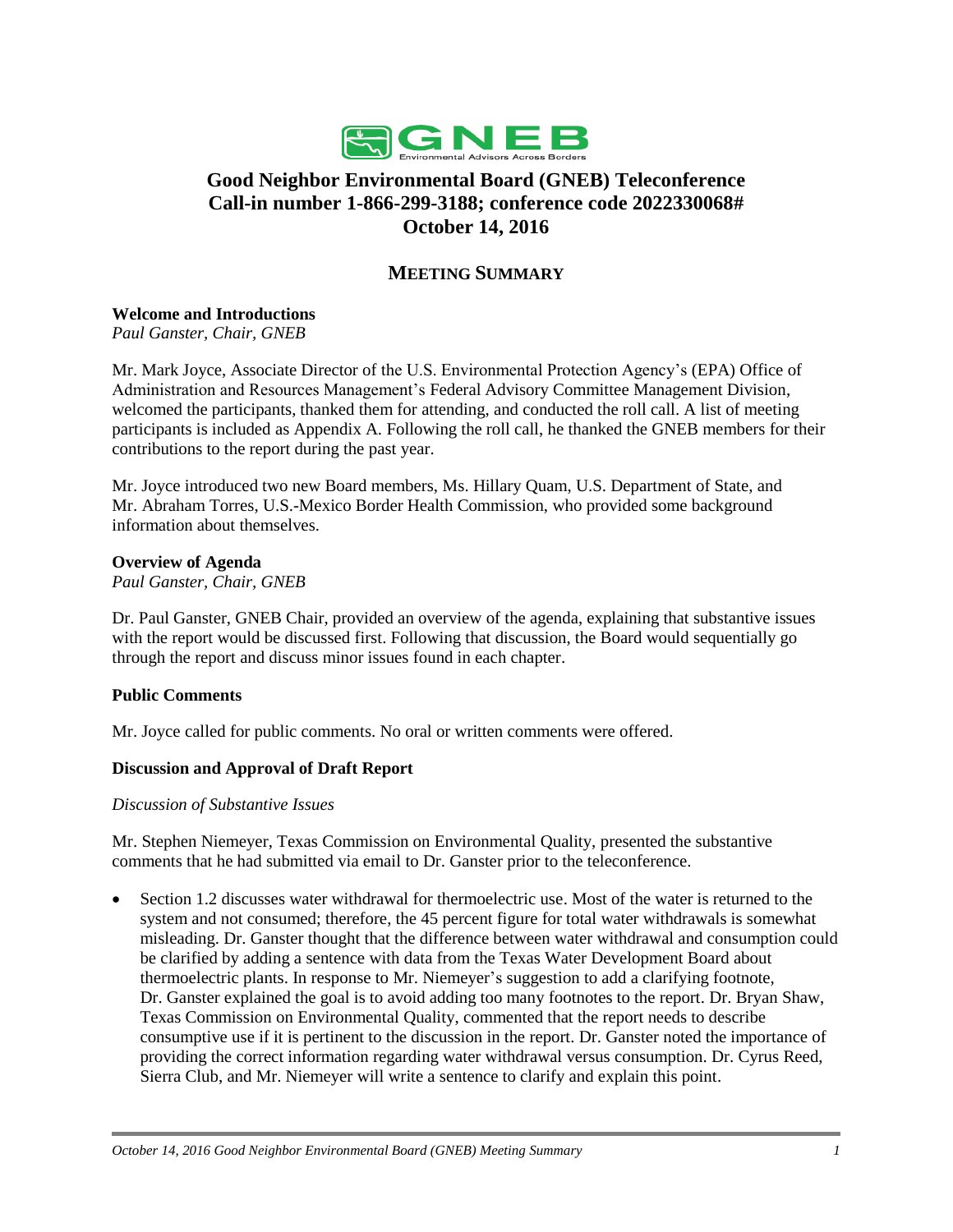

# **Good Neighbor Environmental Board (GNEB) Teleconference Call-in number 1-866-299-3188; conference code 2022330068# October 14, 2016**

# **MEETING SUMMARY**

# **Welcome and Introductions**

*Paul Ganster, Chair, GNEB*

Mr. Mark Joyce, Associate Director of the U.S. Environmental Protection Agency's (EPA) Office of Administration and Resources Management's Federal Advisory Committee Management Division, welcomed the participants, thanked them for attending, and conducted the roll call. A list of meeting participants is included as Appendix A. Following the roll call, he thanked the GNEB members for their contributions to the report during the past year.

Mr. Joyce introduced two new Board members, Ms. Hillary Quam, U.S. Department of State, and Mr. Abraham Torres, U.S.-Mexico Border Health Commission, who provided some background information about themselves.

## **Overview of Agenda**

*Paul Ganster, Chair, GNEB*

Dr. Paul Ganster, GNEB Chair, provided an overview of the agenda, explaining that substantive issues with the report would be discussed first. Following that discussion, the Board would sequentially go through the report and discuss minor issues found in each chapter.

# **Public Comments**

Mr. Joyce called for public comments. No oral or written comments were offered.

# **Discussion and Approval of Draft Report**

*Discussion of Substantive Issues*

Mr. Stephen Niemeyer, Texas Commission on Environmental Quality, presented the substantive comments that he had submitted via email to Dr. Ganster prior to the teleconference.

 Section 1.2 discusses water withdrawal for thermoelectric use. Most of the water is returned to the system and not consumed; therefore, the 45 percent figure for total water withdrawals is somewhat misleading. Dr. Ganster thought that the difference between water withdrawal and consumption could be clarified by adding a sentence with data from the Texas Water Development Board about thermoelectric plants. In response to Mr. Niemeyer's suggestion to add a clarifying footnote, Dr. Ganster explained the goal is to avoid adding too many footnotes to the report. Dr. Bryan Shaw, Texas Commission on Environmental Quality, commented that the report needs to describe consumptive use if it is pertinent to the discussion in the report. Dr. Ganster noted the importance of providing the correct information regarding water withdrawal versus consumption. Dr. Cyrus Reed, Sierra Club, and Mr. Niemeyer will write a sentence to clarify and explain this point.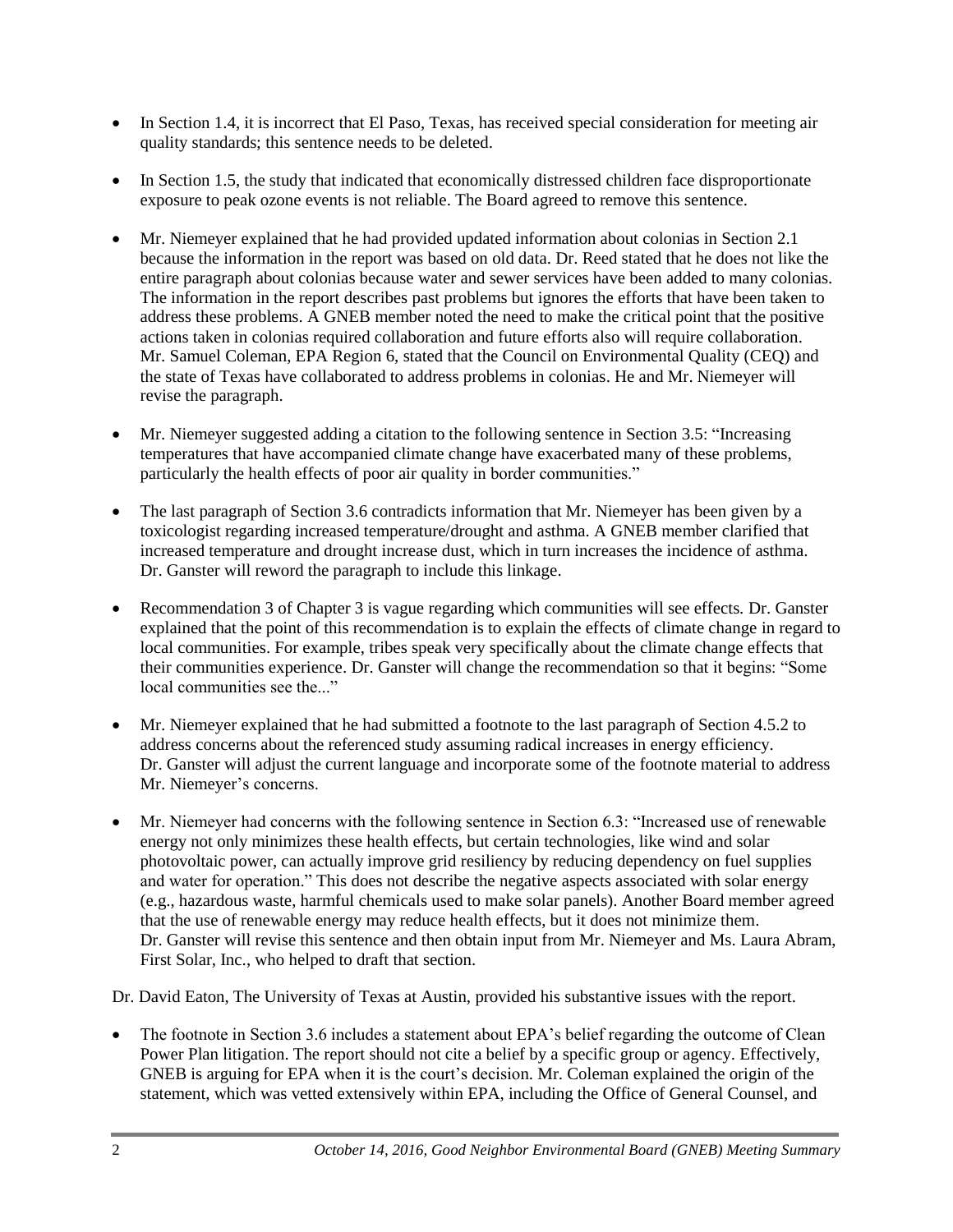- In Section 1.4, it is incorrect that El Paso, Texas, has received special consideration for meeting air quality standards; this sentence needs to be deleted.
- In Section 1.5, the study that indicated that economically distressed children face disproportionate exposure to peak ozone events is not reliable. The Board agreed to remove this sentence.
- Mr. Niemeyer explained that he had provided updated information about colonias in Section 2.1 because the information in the report was based on old data. Dr. Reed stated that he does not like the entire paragraph about colonias because water and sewer services have been added to many colonias. The information in the report describes past problems but ignores the efforts that have been taken to address these problems. A GNEB member noted the need to make the critical point that the positive actions taken in colonias required collaboration and future efforts also will require collaboration. Mr. Samuel Coleman, EPA Region 6, stated that the Council on Environmental Quality (CEQ) and the state of Texas have collaborated to address problems in colonias. He and Mr. Niemeyer will revise the paragraph.
- Mr. Niemeyer suggested adding a citation to the following sentence in Section 3.5: "Increasing temperatures that have accompanied climate change have exacerbated many of these problems, particularly the health effects of poor air quality in border communities."
- The last paragraph of Section 3.6 contradicts information that Mr. Niemeyer has been given by a toxicologist regarding increased temperature/drought and asthma. A GNEB member clarified that increased temperature and drought increase dust, which in turn increases the incidence of asthma. Dr. Ganster will reword the paragraph to include this linkage.
- Recommendation 3 of Chapter 3 is vague regarding which communities will see effects. Dr. Ganster explained that the point of this recommendation is to explain the effects of climate change in regard to local communities. For example, tribes speak very specifically about the climate change effects that their communities experience. Dr. Ganster will change the recommendation so that it begins: "Some local communities see the..."
- Mr. Niemeyer explained that he had submitted a footnote to the last paragraph of Section 4.5.2 to address concerns about the referenced study assuming radical increases in energy efficiency. Dr. Ganster will adjust the current language and incorporate some of the footnote material to address Mr. Niemeyer's concerns.
- Mr. Niemeyer had concerns with the following sentence in Section 6.3: "Increased use of renewable energy not only minimizes these health effects, but certain technologies, like wind and solar photovoltaic power, can actually improve grid resiliency by reducing dependency on fuel supplies and water for operation." This does not describe the negative aspects associated with solar energy (e.g., hazardous waste, harmful chemicals used to make solar panels). Another Board member agreed that the use of renewable energy may reduce health effects, but it does not minimize them. Dr. Ganster will revise this sentence and then obtain input from Mr. Niemeyer and Ms. Laura Abram, First Solar, Inc., who helped to draft that section.

Dr. David Eaton, The University of Texas at Austin, provided his substantive issues with the report.

• The footnote in Section 3.6 includes a statement about EPA's belief regarding the outcome of Clean Power Plan litigation. The report should not cite a belief by a specific group or agency. Effectively, GNEB is arguing for EPA when it is the court's decision. Mr. Coleman explained the origin of the statement, which was vetted extensively within EPA, including the Office of General Counsel, and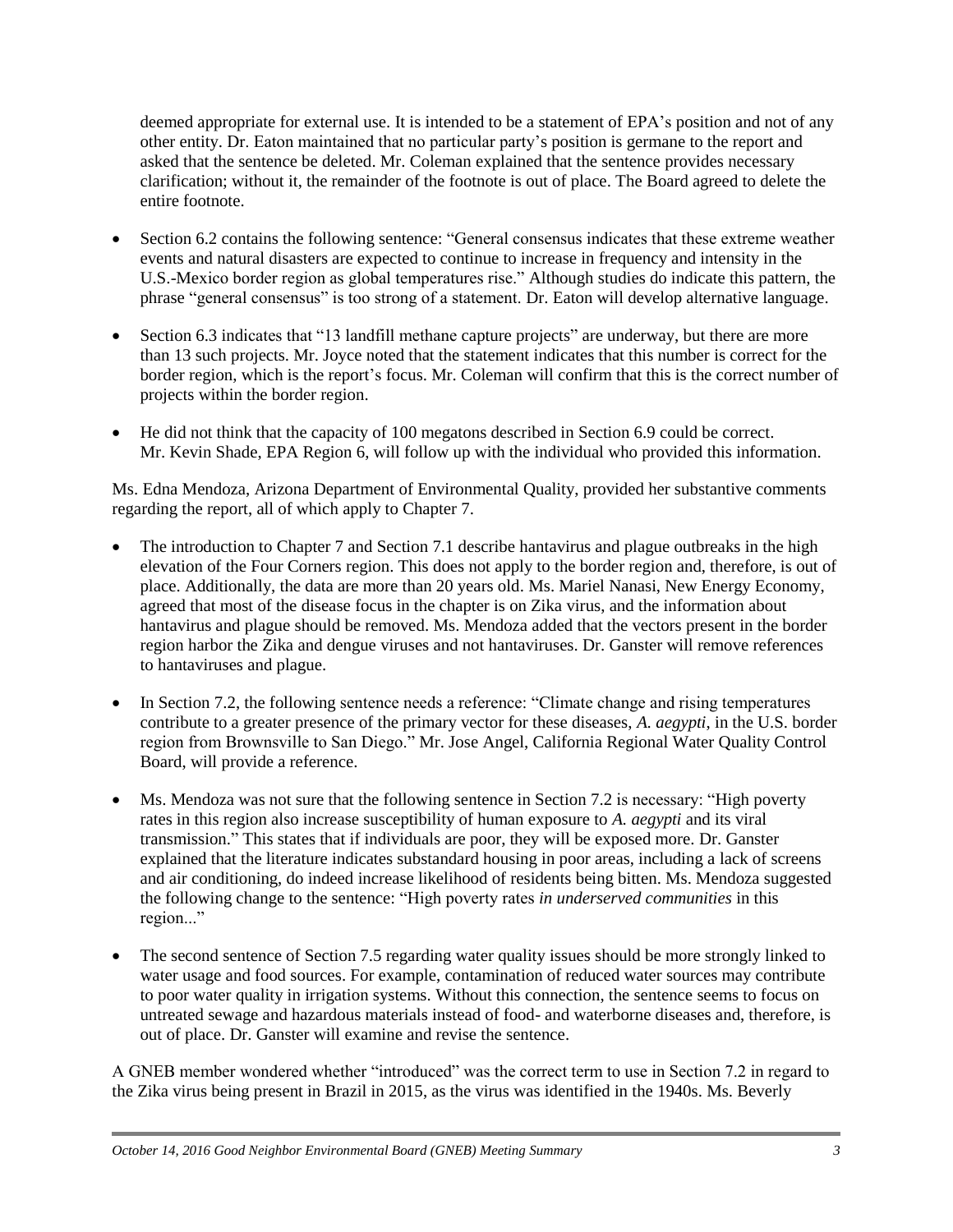deemed appropriate for external use. It is intended to be a statement of EPA's position and not of any other entity. Dr. Eaton maintained that no particular party's position is germane to the report and asked that the sentence be deleted. Mr. Coleman explained that the sentence provides necessary clarification; without it, the remainder of the footnote is out of place. The Board agreed to delete the entire footnote.

- Section 6.2 contains the following sentence: "General consensus indicates that these extreme weather events and natural disasters are expected to continue to increase in frequency and intensity in the U.S.-Mexico border region as global temperatures rise." Although studies do indicate this pattern, the phrase "general consensus" is too strong of a statement. Dr. Eaton will develop alternative language.
- Section 6.3 indicates that "13 landfill methane capture projects" are underway, but there are more than 13 such projects. Mr. Joyce noted that the statement indicates that this number is correct for the border region, which is the report's focus. Mr. Coleman will confirm that this is the correct number of projects within the border region.
- He did not think that the capacity of 100 megatons described in Section 6.9 could be correct. Mr. Kevin Shade, EPA Region 6, will follow up with the individual who provided this information.

Ms. Edna Mendoza, Arizona Department of Environmental Quality, provided her substantive comments regarding the report, all of which apply to Chapter 7.

- The introduction to Chapter 7 and Section 7.1 describe hantavirus and plague outbreaks in the high elevation of the Four Corners region. This does not apply to the border region and, therefore, is out of place. Additionally, the data are more than 20 years old. Ms. Mariel Nanasi, New Energy Economy, agreed that most of the disease focus in the chapter is on Zika virus, and the information about hantavirus and plague should be removed. Ms. Mendoza added that the vectors present in the border region harbor the Zika and dengue viruses and not hantaviruses. Dr. Ganster will remove references to hantaviruses and plague.
- In Section 7.2, the following sentence needs a reference: "Climate change and rising temperatures contribute to a greater presence of the primary vector for these diseases, *A. aegypti*, in the U.S. border region from Brownsville to San Diego." Mr. Jose Angel, California Regional Water Quality Control Board, will provide a reference.
- Ms. Mendoza was not sure that the following sentence in Section 7.2 is necessary: "High poverty rates in this region also increase susceptibility of human exposure to *A. aegypti* and its viral transmission." This states that if individuals are poor, they will be exposed more. Dr. Ganster explained that the literature indicates substandard housing in poor areas, including a lack of screens and air conditioning, do indeed increase likelihood of residents being bitten. Ms. Mendoza suggested the following change to the sentence: "High poverty rates *in underserved communities* in this region..."
- The second sentence of Section 7.5 regarding water quality issues should be more strongly linked to water usage and food sources. For example, contamination of reduced water sources may contribute to poor water quality in irrigation systems. Without this connection, the sentence seems to focus on untreated sewage and hazardous materials instead of food- and waterborne diseases and, therefore, is out of place. Dr. Ganster will examine and revise the sentence.

A GNEB member wondered whether "introduced" was the correct term to use in Section 7.2 in regard to the Zika virus being present in Brazil in 2015, as the virus was identified in the 1940s. Ms. Beverly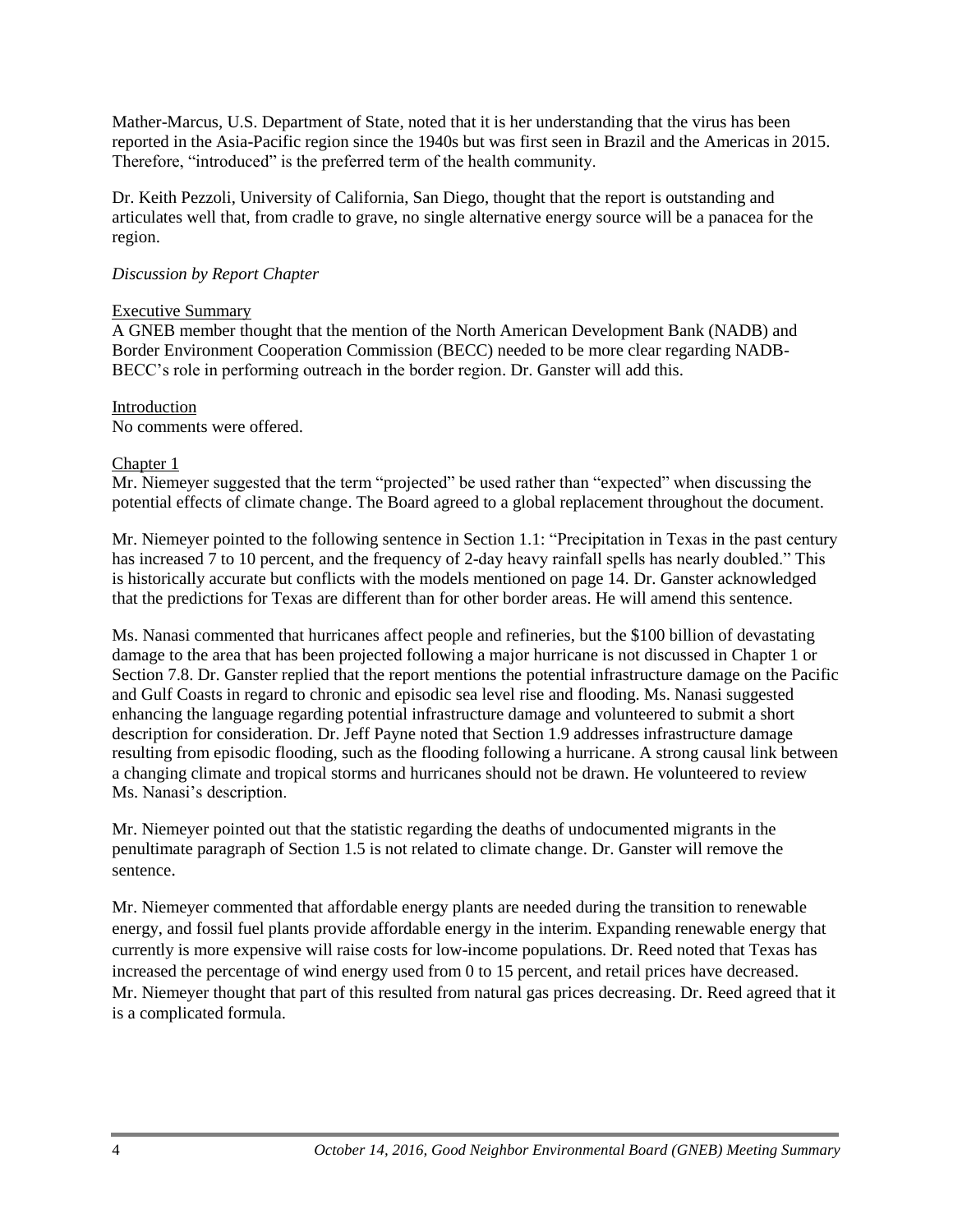Mather-Marcus, U.S. Department of State, noted that it is her understanding that the virus has been reported in the Asia-Pacific region since the 1940s but was first seen in Brazil and the Americas in 2015. Therefore, "introduced" is the preferred term of the health community.

Dr. Keith Pezzoli, University of California, San Diego, thought that the report is outstanding and articulates well that, from cradle to grave, no single alternative energy source will be a panacea for the region.

# *Discussion by Report Chapter*

# Executive Summary

A GNEB member thought that the mention of the North American Development Bank (NADB) and Border Environment Cooperation Commission (BECC) needed to be more clear regarding NADB-BECC's role in performing outreach in the border region. Dr. Ganster will add this.

# Introduction

No comments were offered.

# Chapter 1

Mr. Niemeyer suggested that the term "projected" be used rather than "expected" when discussing the potential effects of climate change. The Board agreed to a global replacement throughout the document.

Mr. Niemeyer pointed to the following sentence in Section 1.1: "Precipitation in Texas in the past century has increased 7 to 10 percent, and the frequency of 2-day heavy rainfall spells has nearly doubled." This is historically accurate but conflicts with the models mentioned on page 14. Dr. Ganster acknowledged that the predictions for Texas are different than for other border areas. He will amend this sentence.

Ms. Nanasi commented that hurricanes affect people and refineries, but the \$100 billion of devastating damage to the area that has been projected following a major hurricane is not discussed in Chapter 1 or Section 7.8. Dr. Ganster replied that the report mentions the potential infrastructure damage on the Pacific and Gulf Coasts in regard to chronic and episodic sea level rise and flooding. Ms. Nanasi suggested enhancing the language regarding potential infrastructure damage and volunteered to submit a short description for consideration. Dr. Jeff Payne noted that Section 1.9 addresses infrastructure damage resulting from episodic flooding, such as the flooding following a hurricane. A strong causal link between a changing climate and tropical storms and hurricanes should not be drawn. He volunteered to review Ms. Nanasi's description.

Mr. Niemeyer pointed out that the statistic regarding the deaths of undocumented migrants in the penultimate paragraph of Section 1.5 is not related to climate change. Dr. Ganster will remove the sentence.

Mr. Niemeyer commented that affordable energy plants are needed during the transition to renewable energy, and fossil fuel plants provide affordable energy in the interim. Expanding renewable energy that currently is more expensive will raise costs for low-income populations. Dr. Reed noted that Texas has increased the percentage of wind energy used from 0 to 15 percent, and retail prices have decreased. Mr. Niemeyer thought that part of this resulted from natural gas prices decreasing. Dr. Reed agreed that it is a complicated formula.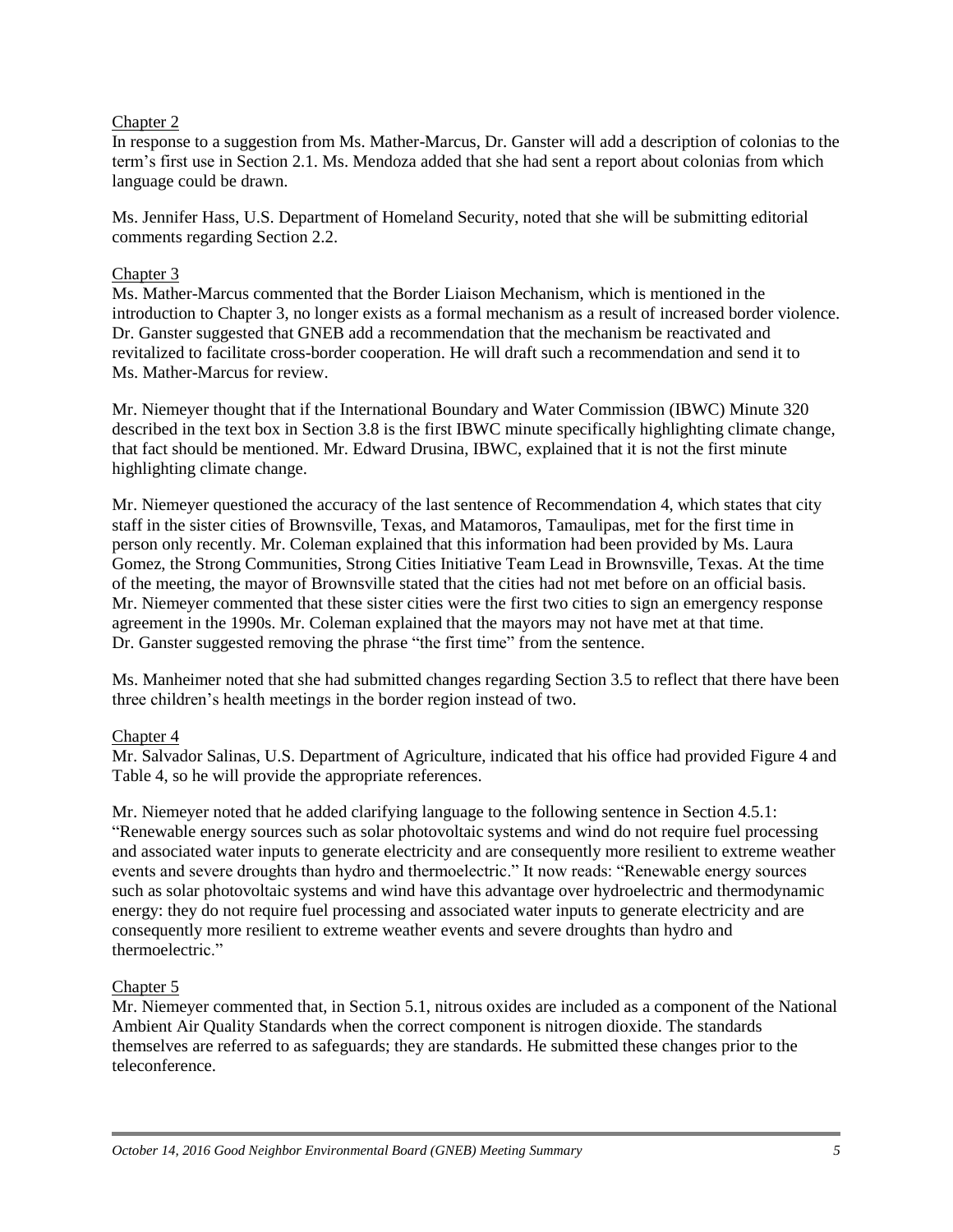# Chapter 2

In response to a suggestion from Ms. Mather-Marcus, Dr. Ganster will add a description of colonias to the term's first use in Section 2.1. Ms. Mendoza added that she had sent a report about colonias from which language could be drawn.

Ms. Jennifer Hass, U.S. Department of Homeland Security, noted that she will be submitting editorial comments regarding Section 2.2.

# Chapter 3

Ms. Mather-Marcus commented that the Border Liaison Mechanism, which is mentioned in the introduction to Chapter 3, no longer exists as a formal mechanism as a result of increased border violence. Dr. Ganster suggested that GNEB add a recommendation that the mechanism be reactivated and revitalized to facilitate cross-border cooperation. He will draft such a recommendation and send it to Ms. Mather-Marcus for review.

Mr. Niemeyer thought that if the International Boundary and Water Commission (IBWC) Minute 320 described in the text box in Section 3.8 is the first IBWC minute specifically highlighting climate change, that fact should be mentioned. Mr. Edward Drusina, IBWC, explained that it is not the first minute highlighting climate change.

Mr. Niemeyer questioned the accuracy of the last sentence of Recommendation 4, which states that city staff in the sister cities of Brownsville, Texas, and Matamoros, Tamaulipas, met for the first time in person only recently. Mr. Coleman explained that this information had been provided by Ms. Laura Gomez, the Strong Communities, Strong Cities Initiative Team Lead in Brownsville, Texas. At the time of the meeting, the mayor of Brownsville stated that the cities had not met before on an official basis. Mr. Niemeyer commented that these sister cities were the first two cities to sign an emergency response agreement in the 1990s. Mr. Coleman explained that the mayors may not have met at that time. Dr. Ganster suggested removing the phrase "the first time" from the sentence.

Ms. Manheimer noted that she had submitted changes regarding Section 3.5 to reflect that there have been three children's health meetings in the border region instead of two.

# Chapter 4

Mr. Salvador Salinas, U.S. Department of Agriculture, indicated that his office had provided Figure 4 and Table 4, so he will provide the appropriate references.

Mr. Niemeyer noted that he added clarifying language to the following sentence in Section 4.5.1: "Renewable energy sources such as solar photovoltaic systems and wind do not require fuel processing and associated water inputs to generate electricity and are consequently more resilient to extreme weather events and severe droughts than hydro and thermoelectric." It now reads: "Renewable energy sources such as solar photovoltaic systems and wind have this advantage over hydroelectric and thermodynamic energy: they do not require fuel processing and associated water inputs to generate electricity and are consequently more resilient to extreme weather events and severe droughts than hydro and thermoelectric."

# Chapter 5

Mr. Niemeyer commented that, in Section 5.1, nitrous oxides are included as a component of the National Ambient Air Quality Standards when the correct component is nitrogen dioxide. The standards themselves are referred to as safeguards; they are standards. He submitted these changes prior to the teleconference.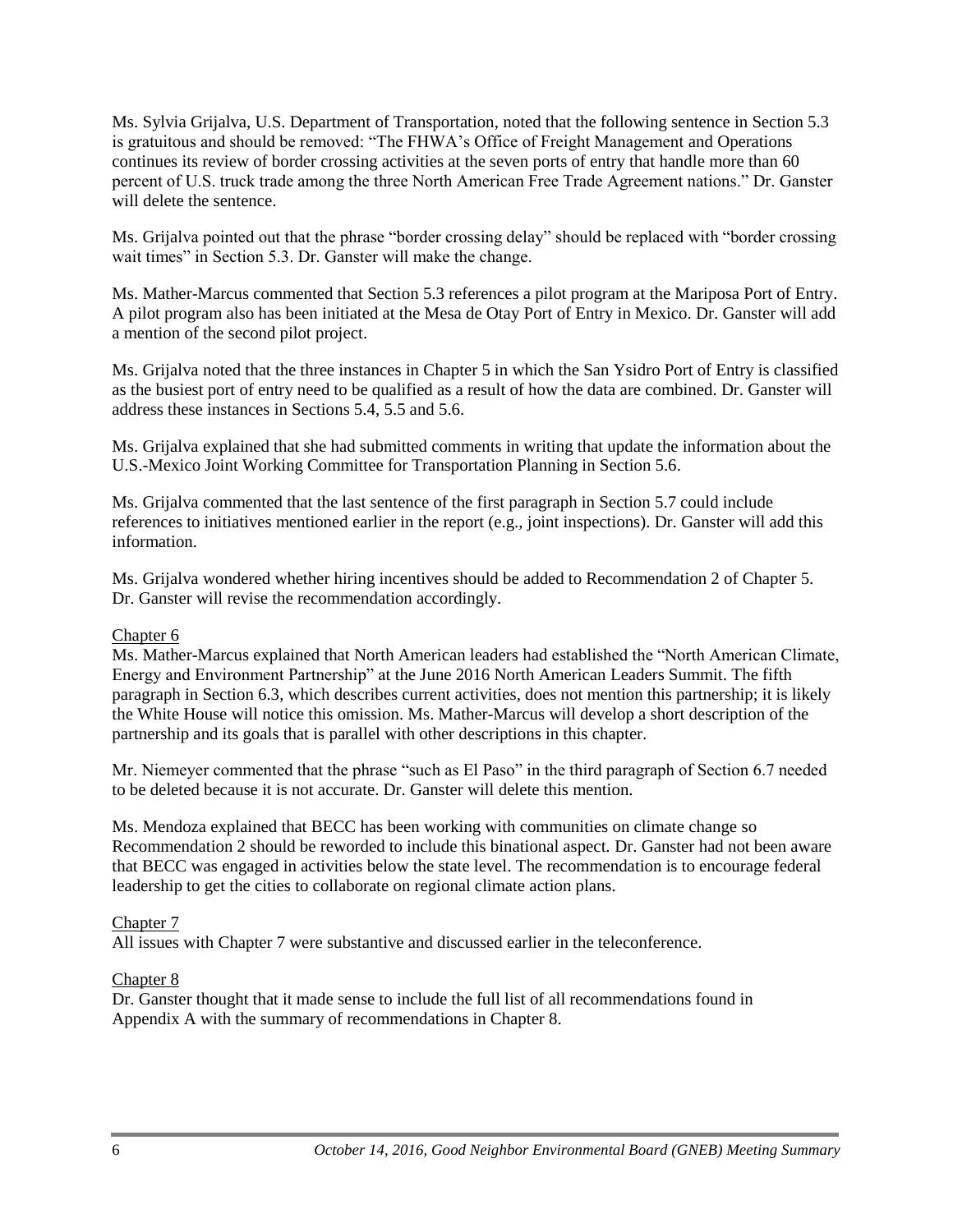Ms. Sylvia Grijalva, U.S. Department of Transportation, noted that the following sentence in Section 5.3 is gratuitous and should be removed: "The FHWA's Office of Freight Management and Operations continues its review of border crossing activities at the seven ports of entry that handle more than 60 percent of U.S. truck trade among the three North American Free Trade Agreement nations." Dr. Ganster will delete the sentence.

Ms. Grijalva pointed out that the phrase "border crossing delay" should be replaced with "border crossing wait times" in Section 5.3. Dr. Ganster will make the change.

Ms. Mather-Marcus commented that Section 5.3 references a pilot program at the Mariposa Port of Entry. A pilot program also has been initiated at the Mesa de Otay Port of Entry in Mexico. Dr. Ganster will add a mention of the second pilot project.

Ms. Grijalva noted that the three instances in Chapter 5 in which the San Ysidro Port of Entry is classified as the busiest port of entry need to be qualified as a result of how the data are combined. Dr. Ganster will address these instances in Sections 5.4, 5.5 and 5.6.

Ms. Grijalva explained that she had submitted comments in writing that update the information about the U.S.-Mexico Joint Working Committee for Transportation Planning in Section 5.6.

Ms. Grijalva commented that the last sentence of the first paragraph in Section 5.7 could include references to initiatives mentioned earlier in the report (e.g., joint inspections). Dr. Ganster will add this information.

Ms. Grijalva wondered whether hiring incentives should be added to Recommendation 2 of Chapter 5. Dr. Ganster will revise the recommendation accordingly.

# Chapter 6

Ms. Mather-Marcus explained that North American leaders had established the "North American Climate, Energy and Environment Partnership" at the June 2016 North American Leaders Summit. The fifth paragraph in Section 6.3, which describes current activities, does not mention this partnership; it is likely the White House will notice this omission. Ms. Mather-Marcus will develop a short description of the partnership and its goals that is parallel with other descriptions in this chapter.

Mr. Niemeyer commented that the phrase "such as El Paso" in the third paragraph of Section 6.7 needed to be deleted because it is not accurate. Dr. Ganster will delete this mention.

Ms. Mendoza explained that BECC has been working with communities on climate change so Recommendation 2 should be reworded to include this binational aspect. Dr. Ganster had not been aware that BECC was engaged in activities below the state level. The recommendation is to encourage federal leadership to get the cities to collaborate on regional climate action plans.

# Chapter 7

All issues with Chapter 7 were substantive and discussed earlier in the teleconference.

# Chapter 8

Dr. Ganster thought that it made sense to include the full list of all recommendations found in Appendix A with the summary of recommendations in Chapter 8.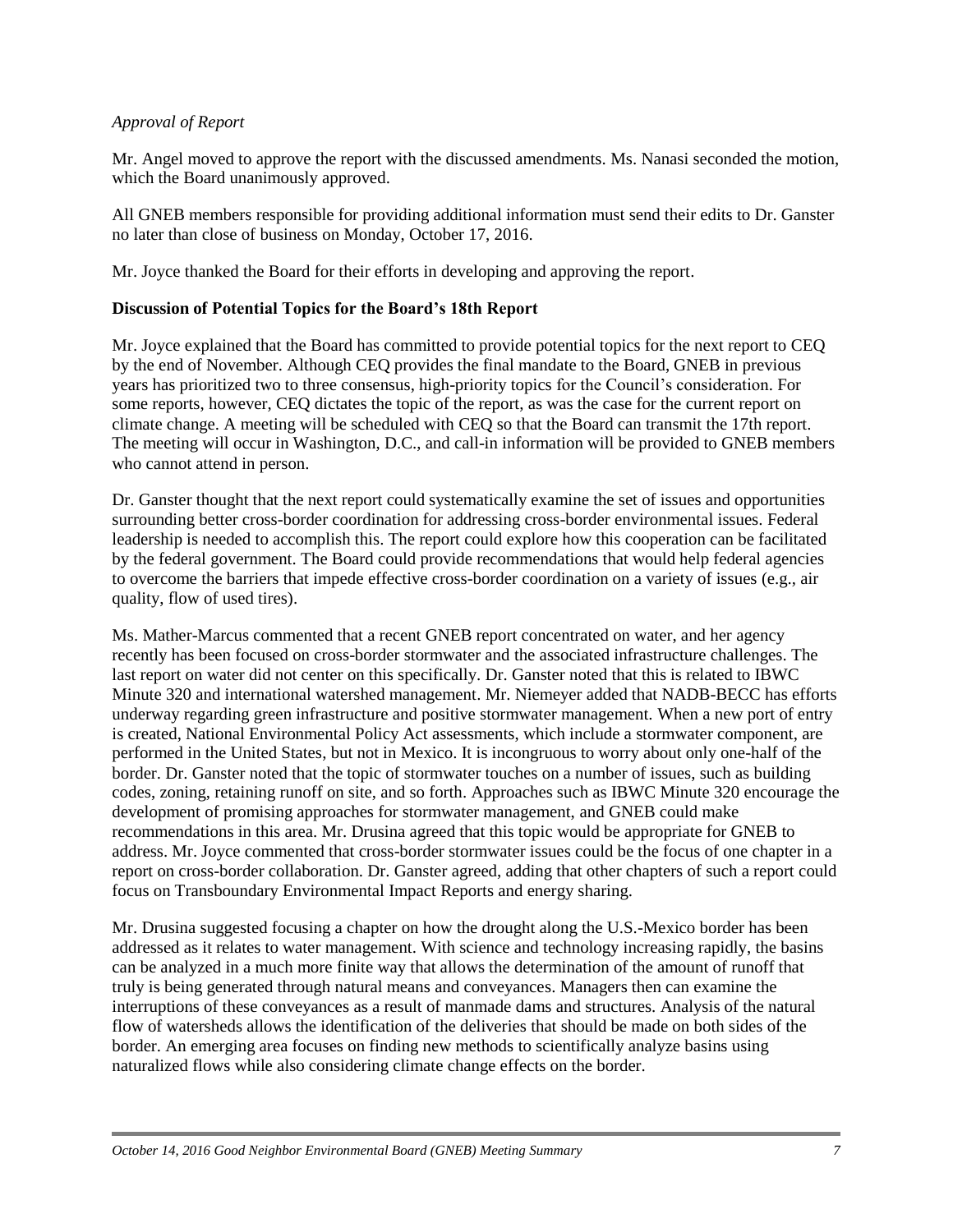# *Approval of Report*

Mr. Angel moved to approve the report with the discussed amendments. Ms. Nanasi seconded the motion, which the Board unanimously approved.

All GNEB members responsible for providing additional information must send their edits to Dr. Ganster no later than close of business on Monday, October 17, 2016.

Mr. Joyce thanked the Board for their efforts in developing and approving the report.

# **Discussion of Potential Topics for the Board's 18th Report**

Mr. Joyce explained that the Board has committed to provide potential topics for the next report to CEQ by the end of November. Although CEQ provides the final mandate to the Board, GNEB in previous years has prioritized two to three consensus, high-priority topics for the Council's consideration. For some reports, however, CEQ dictates the topic of the report, as was the case for the current report on climate change. A meeting will be scheduled with CEQ so that the Board can transmit the 17th report. The meeting will occur in Washington, D.C., and call-in information will be provided to GNEB members who cannot attend in person.

Dr. Ganster thought that the next report could systematically examine the set of issues and opportunities surrounding better cross-border coordination for addressing cross-border environmental issues. Federal leadership is needed to accomplish this. The report could explore how this cooperation can be facilitated by the federal government. The Board could provide recommendations that would help federal agencies to overcome the barriers that impede effective cross-border coordination on a variety of issues (e.g., air quality, flow of used tires).

Ms. Mather-Marcus commented that a recent GNEB report concentrated on water, and her agency recently has been focused on cross-border stormwater and the associated infrastructure challenges. The last report on water did not center on this specifically. Dr. Ganster noted that this is related to IBWC Minute 320 and international watershed management. Mr. Niemeyer added that NADB-BECC has efforts underway regarding green infrastructure and positive stormwater management. When a new port of entry is created, National Environmental Policy Act assessments, which include a stormwater component, are performed in the United States, but not in Mexico. It is incongruous to worry about only one-half of the border. Dr. Ganster noted that the topic of stormwater touches on a number of issues, such as building codes, zoning, retaining runoff on site, and so forth. Approaches such as IBWC Minute 320 encourage the development of promising approaches for stormwater management, and GNEB could make recommendations in this area. Mr. Drusina agreed that this topic would be appropriate for GNEB to address. Mr. Joyce commented that cross-border stormwater issues could be the focus of one chapter in a report on cross-border collaboration. Dr. Ganster agreed, adding that other chapters of such a report could focus on Transboundary Environmental Impact Reports and energy sharing.

Mr. Drusina suggested focusing a chapter on how the drought along the U.S.-Mexico border has been addressed as it relates to water management. With science and technology increasing rapidly, the basins can be analyzed in a much more finite way that allows the determination of the amount of runoff that truly is being generated through natural means and conveyances. Managers then can examine the interruptions of these conveyances as a result of manmade dams and structures. Analysis of the natural flow of watersheds allows the identification of the deliveries that should be made on both sides of the border. An emerging area focuses on finding new methods to scientifically analyze basins using naturalized flows while also considering climate change effects on the border.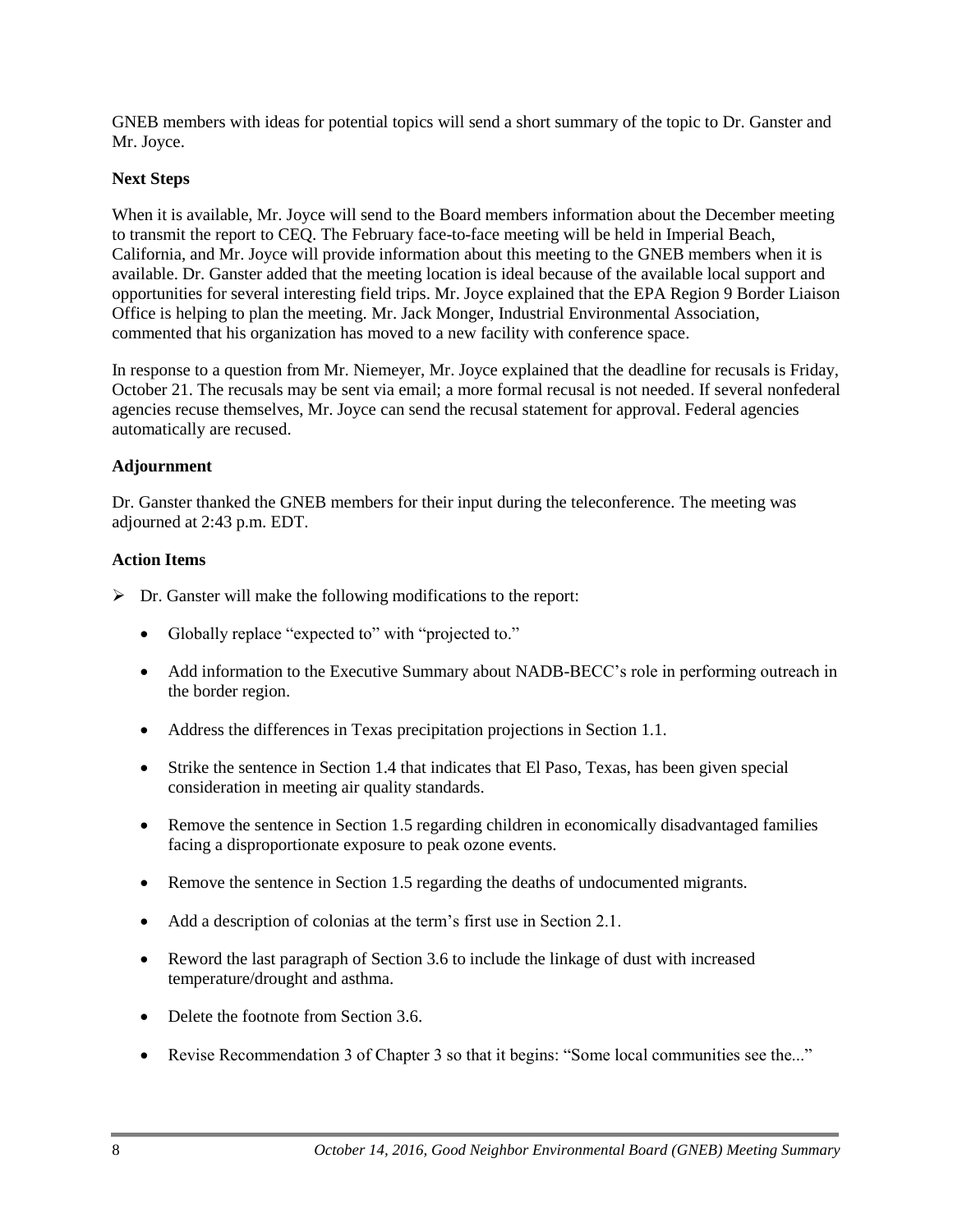GNEB members with ideas for potential topics will send a short summary of the topic to Dr. Ganster and Mr. Joyce.

# **Next Steps**

When it is available, Mr. Joyce will send to the Board members information about the December meeting to transmit the report to CEQ. The February face-to-face meeting will be held in Imperial Beach, California, and Mr. Joyce will provide information about this meeting to the GNEB members when it is available. Dr. Ganster added that the meeting location is ideal because of the available local support and opportunities for several interesting field trips. Mr. Joyce explained that the EPA Region 9 Border Liaison Office is helping to plan the meeting. Mr. Jack Monger, Industrial Environmental Association, commented that his organization has moved to a new facility with conference space.

In response to a question from Mr. Niemeyer, Mr. Joyce explained that the deadline for recusals is Friday, October 21. The recusals may be sent via email; a more formal recusal is not needed. If several nonfederal agencies recuse themselves, Mr. Joyce can send the recusal statement for approval. Federal agencies automatically are recused.

# **Adjournment**

Dr. Ganster thanked the GNEB members for their input during the teleconference. The meeting was adjourned at 2:43 p.m. EDT.

# **Action Items**

- $\triangleright$  Dr. Ganster will make the following modifications to the report:
	- Globally replace "expected to" with "projected to."
	- Add information to the Executive Summary about NADB-BECC's role in performing outreach in the border region.
	- Address the differences in Texas precipitation projections in Section 1.1.
	- Strike the sentence in Section 1.4 that indicates that El Paso, Texas, has been given special consideration in meeting air quality standards.
	- Remove the sentence in Section 1.5 regarding children in economically disadvantaged families facing a disproportionate exposure to peak ozone events.
	- Remove the sentence in Section 1.5 regarding the deaths of undocumented migrants.
	- Add a description of colonias at the term's first use in Section 2.1.
	- Reword the last paragraph of Section 3.6 to include the linkage of dust with increased temperature/drought and asthma.
	- Delete the footnote from Section 3.6.
	- Revise Recommendation 3 of Chapter 3 so that it begins: "Some local communities see the..."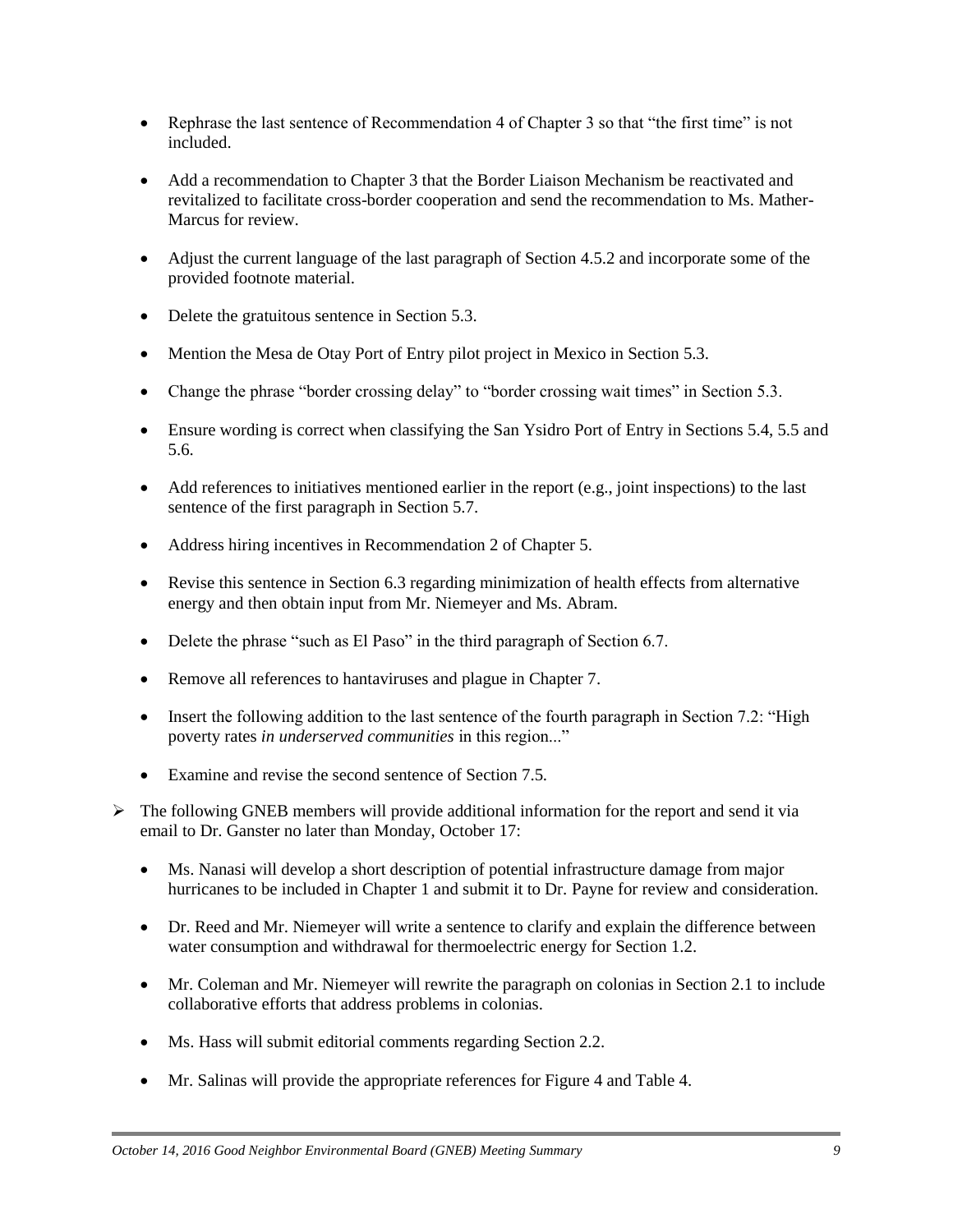- Rephrase the last sentence of Recommendation 4 of Chapter 3 so that "the first time" is not included.
- Add a recommendation to Chapter 3 that the Border Liaison Mechanism be reactivated and revitalized to facilitate cross-border cooperation and send the recommendation to Ms. Mather-Marcus for review.
- Adjust the current language of the last paragraph of Section 4.5.2 and incorporate some of the provided footnote material.
- Delete the gratuitous sentence in Section 5.3.
- Mention the Mesa de Otay Port of Entry pilot project in Mexico in Section 5.3.
- Change the phrase "border crossing delay" to "border crossing wait times" in Section 5.3.
- Ensure wording is correct when classifying the San Ysidro Port of Entry in Sections 5.4, 5.5 and 5.6.
- Add references to initiatives mentioned earlier in the report (e.g., joint inspections) to the last sentence of the first paragraph in Section 5.7.
- Address hiring incentives in Recommendation 2 of Chapter 5.
- Revise this sentence in Section 6.3 regarding minimization of health effects from alternative energy and then obtain input from Mr. Niemeyer and Ms. Abram.
- Delete the phrase "such as El Paso" in the third paragraph of Section 6.7.
- Remove all references to hantaviruses and plague in Chapter 7.
- Insert the following addition to the last sentence of the fourth paragraph in Section 7.2: "High poverty rates *in underserved communities* in this region..."
- Examine and revise the second sentence of Section 7.5.
- $\triangleright$  The following GNEB members will provide additional information for the report and send it via email to Dr. Ganster no later than Monday, October 17:
	- Ms. Nanasi will develop a short description of potential infrastructure damage from major hurricanes to be included in Chapter 1 and submit it to Dr. Payne for review and consideration.
	- Dr. Reed and Mr. Niemeyer will write a sentence to clarify and explain the difference between water consumption and withdrawal for thermoelectric energy for Section 1.2.
	- Mr. Coleman and Mr. Niemeyer will rewrite the paragraph on colonias in Section 2.1 to include collaborative efforts that address problems in colonias.
	- Ms. Hass will submit editorial comments regarding Section 2.2.
	- Mr. Salinas will provide the appropriate references for Figure 4 and Table 4.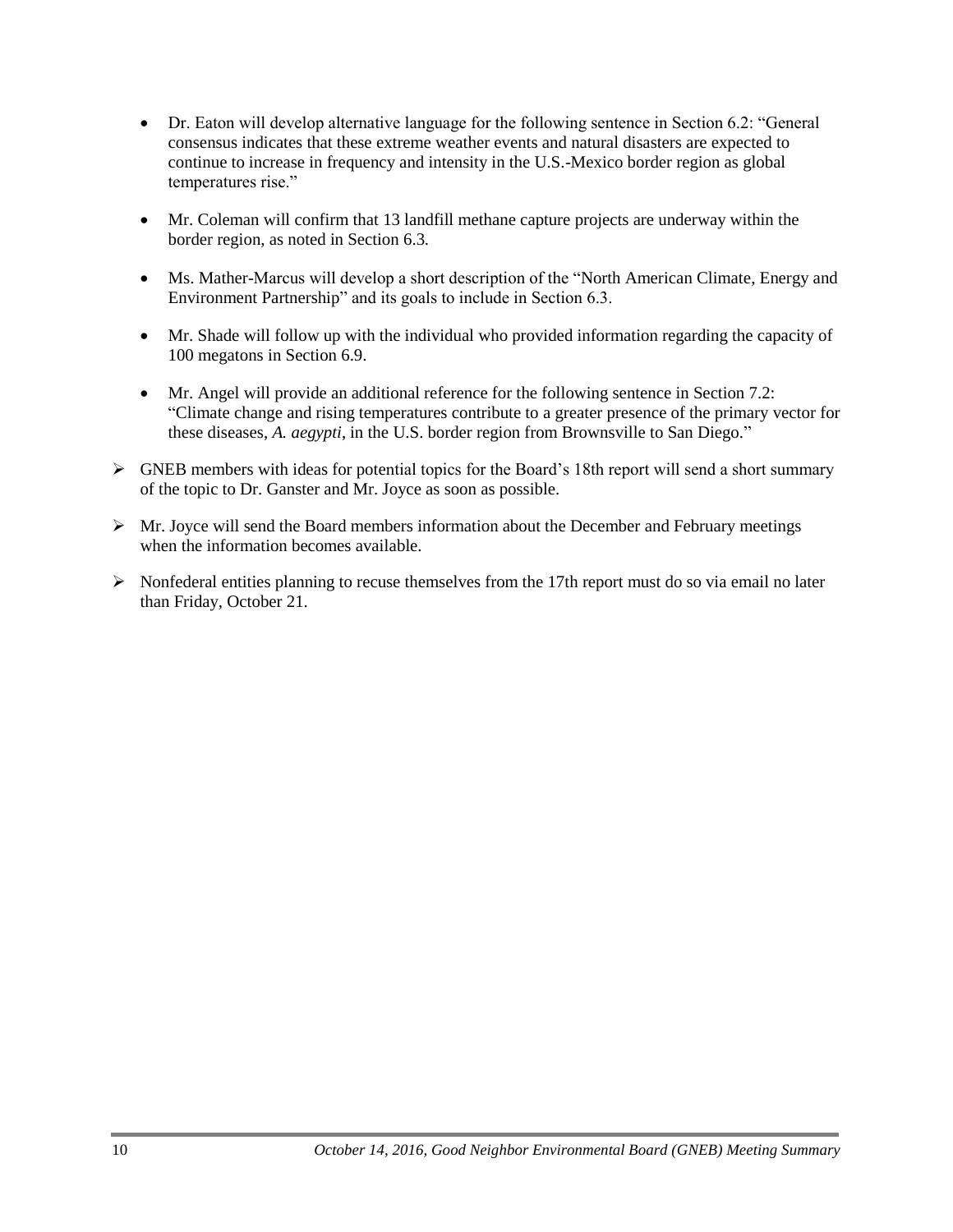- Dr. Eaton will develop alternative language for the following sentence in Section 6.2: "General consensus indicates that these extreme weather events and natural disasters are expected to continue to increase in frequency and intensity in the U.S.-Mexico border region as global temperatures rise."
- Mr. Coleman will confirm that 13 landfill methane capture projects are underway within the border region, as noted in Section 6.3.
- Ms. Mather-Marcus will develop a short description of the "North American Climate, Energy and Environment Partnership" and its goals to include in Section 6.3.
- Mr. Shade will follow up with the individual who provided information regarding the capacity of 100 megatons in Section 6.9.
- Mr. Angel will provide an additional reference for the following sentence in Section 7.2: "Climate change and rising temperatures contribute to a greater presence of the primary vector for these diseases, *A. aegypti*, in the U.S. border region from Brownsville to San Diego."
- $\triangleright$  GNEB members with ideas for potential topics for the Board's 18th report will send a short summary of the topic to Dr. Ganster and Mr. Joyce as soon as possible.
- $\triangleright$  Mr. Joyce will send the Board members information about the December and February meetings when the information becomes available.
- $\triangleright$  Nonfederal entities planning to recuse themselves from the 17th report must do so via email no later than Friday, October 21.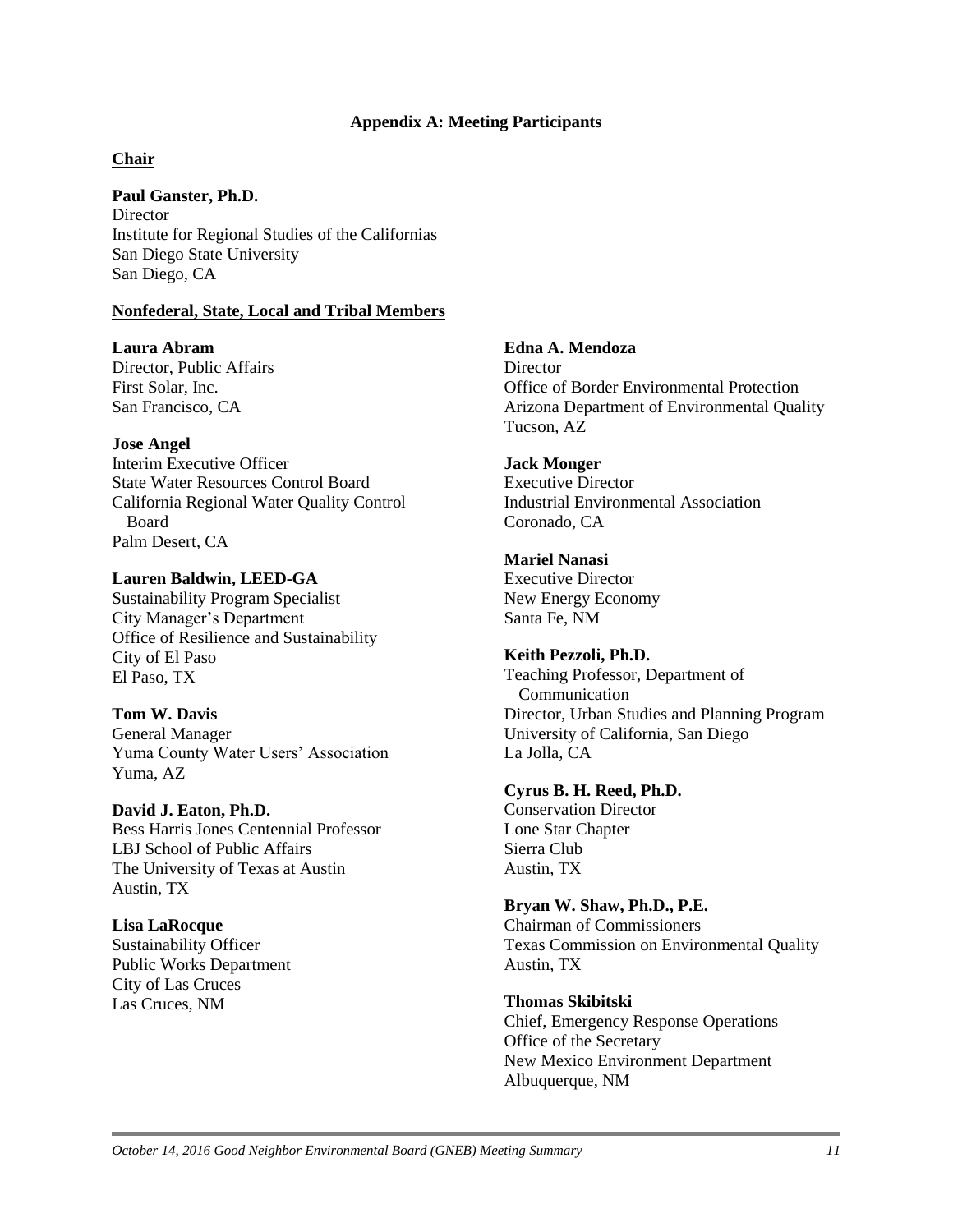## **Appendix A: Meeting Participants**

# **Chair**

**Paul Ganster, Ph.D. Director** Institute for Regional Studies of the Californias San Diego State University San Diego, CA

## **Nonfederal, State, Local and Tribal Members**

**Laura Abram** Director, Public Affairs First Solar, Inc. San Francisco, CA

## **Jose Angel**

Interim Executive Officer State Water Resources Control Board California Regional Water Quality Control Board Palm Desert, CA

#### **Lauren Baldwin, LEED-GA**

Sustainability Program Specialist City Manager's Department Office of Resilience and Sustainability City of El Paso El Paso, TX

## **Tom W. Davis**

General Manager Yuma County Water Users' Association Yuma, AZ

### **David J. Eaton, Ph.D.**

Bess Harris Jones Centennial Professor LBJ School of Public Affairs The University of Texas at Austin Austin, TX

### **Lisa LaRocque**

Sustainability Officer Public Works Department City of Las Cruces Las Cruces, NM

#### **Edna A. Mendoza**

**Director** Office of Border Environmental Protection Arizona Department of Environmental Quality Tucson, AZ

## **Jack Monger**

Executive Director Industrial Environmental Association Coronado, CA

#### **Mariel Nanasi**

Executive Director New Energy Economy Santa Fe, NM

## **Keith Pezzoli, Ph.D.**

Teaching Professor, Department of Communication Director, Urban Studies and Planning Program University of California, San Diego La Jolla, CA

#### **Cyrus B. H. Reed, Ph.D.**

Conservation Director Lone Star Chapter Sierra Club Austin, TX

## **Bryan W. Shaw, Ph.D., P.E.**

Chairman of Commissioners Texas Commission on Environmental Quality Austin, TX

# **Thomas Skibitski**

Chief, Emergency Response Operations Office of the Secretary New Mexico Environment Department Albuquerque, NM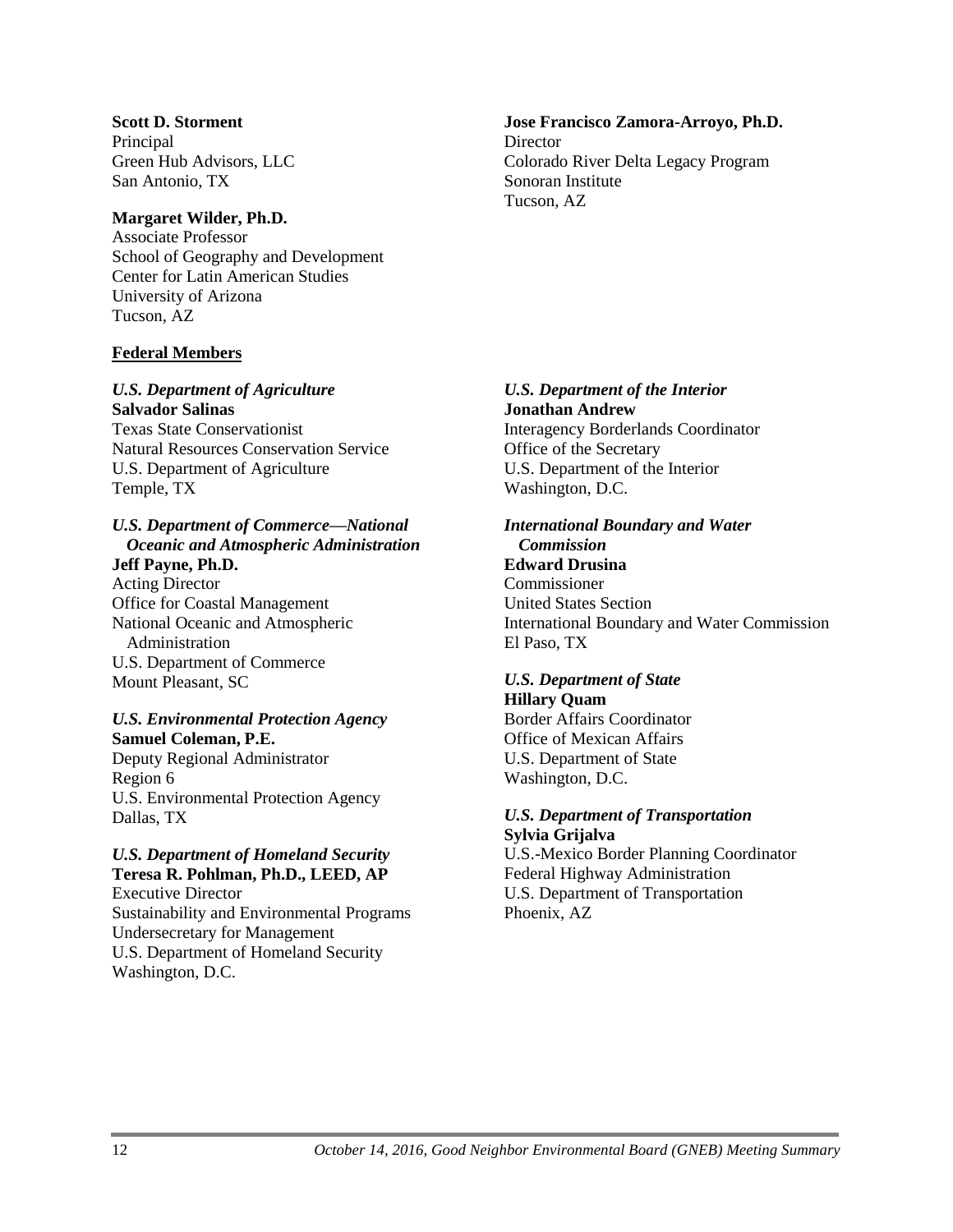## **Scott D. Storment** Principal Green Hub Advisors, LLC San Antonio, TX

# **Margaret Wilder, Ph.D.**

Associate Professor School of Geography and Development Center for Latin American Studies University of Arizona Tucson, AZ

# **Federal Members**

# *U.S. Department of Agriculture*

**Salvador Salinas** Texas State Conservationist Natural Resources Conservation Service U.S. Department of Agriculture Temple, TX

# *U.S. Department of Commerce—National*

*Oceanic and Atmospheric Administration* **Jeff Payne, Ph.D.** Acting Director Office for Coastal Management National Oceanic and Atmospheric Administration U.S. Department of Commerce Mount Pleasant, SC

# *U.S. Environmental Protection Agency* **Samuel Coleman, P.E.**

Deputy Regional Administrator Region 6 U.S. Environmental Protection Agency Dallas, TX

# *U.S. Department of Homeland Security*  **Teresa R. Pohlman, Ph.D., LEED, AP**

Executive Director Sustainability and Environmental Programs Undersecretary for Management U.S. Department of Homeland Security Washington, D.C.

## **Jose Francisco Zamora-Arroyo, Ph.D. Director** Colorado River Delta Legacy Program Sonoran Institute Tucson, AZ

# *U.S. Department of the Interior*

**Jonathan Andrew** Interagency Borderlands Coordinator Office of the Secretary U.S. Department of the Interior Washington, D.C.

# *International Boundary and Water*

*Commission* **Edward Drusina** Commissioner United States Section International Boundary and Water Commission El Paso, TX

## *U.S. Department of State* **Hillary Quam**

Border Affairs Coordinator Office of Mexican Affairs U.S. Department of State Washington, D.C.

# *U.S. Department of Transportation* **Sylvia Grijalva**

U.S.-Mexico Border Planning Coordinator Federal Highway Administration U.S. Department of Transportation Phoenix, AZ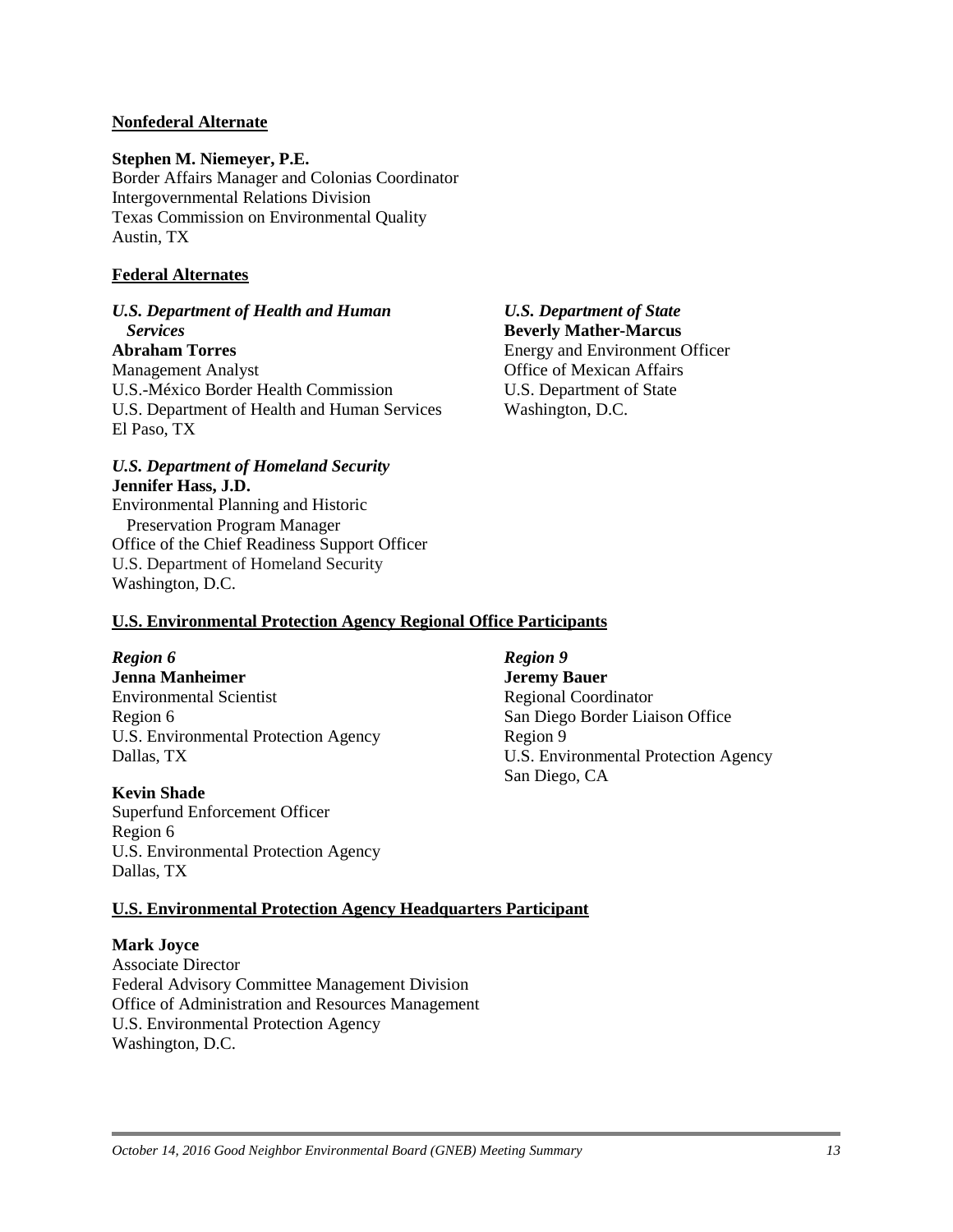# **Nonfederal Alternate**

## **Stephen M. Niemeyer, P.E.**

Border Affairs Manager and Colonias Coordinator Intergovernmental Relations Division Texas Commission on Environmental Quality Austin, TX

# **Federal Alternates**

# *U.S. Department of Health and Human Services*

**Abraham Torres** Management Analyst U.S.-México Border Health Commission U.S. Department of Health and Human Services El Paso, TX

# *U.S. Department of Homeland Security* **Jennifer Hass, J.D.**

Environmental Planning and Historic Preservation Program Manager Office of the Chief Readiness Support Officer U.S. Department of Homeland Security Washington, D.C.

*U.S. Department of State* **Beverly Mather-Marcus** Energy and Environment Officer Office of Mexican Affairs U.S. Department of State Washington, D.C.

# **U.S. Environmental Protection Agency Regional Office Participants**

## *Region 6*

**Jenna Manheimer** Environmental Scientist Region 6 U.S. Environmental Protection Agency Dallas, TX

# **Kevin Shade**

Superfund Enforcement Officer Region 6 U.S. Environmental Protection Agency Dallas, TX

# *Region 9* **Jeremy Bauer** Regional Coordinator San Diego Border Liaison Office Region 9 U.S. Environmental Protection Agency San Diego, CA

## **U.S. Environmental Protection Agency Headquarters Participant**

### **Mark Joyce**

Associate Director Federal Advisory Committee Management Division Office of Administration and Resources Management U.S. Environmental Protection Agency Washington, D.C.

*October 14, 2016 Good Neighbor Environmental Board (GNEB) Meeting Summary 13*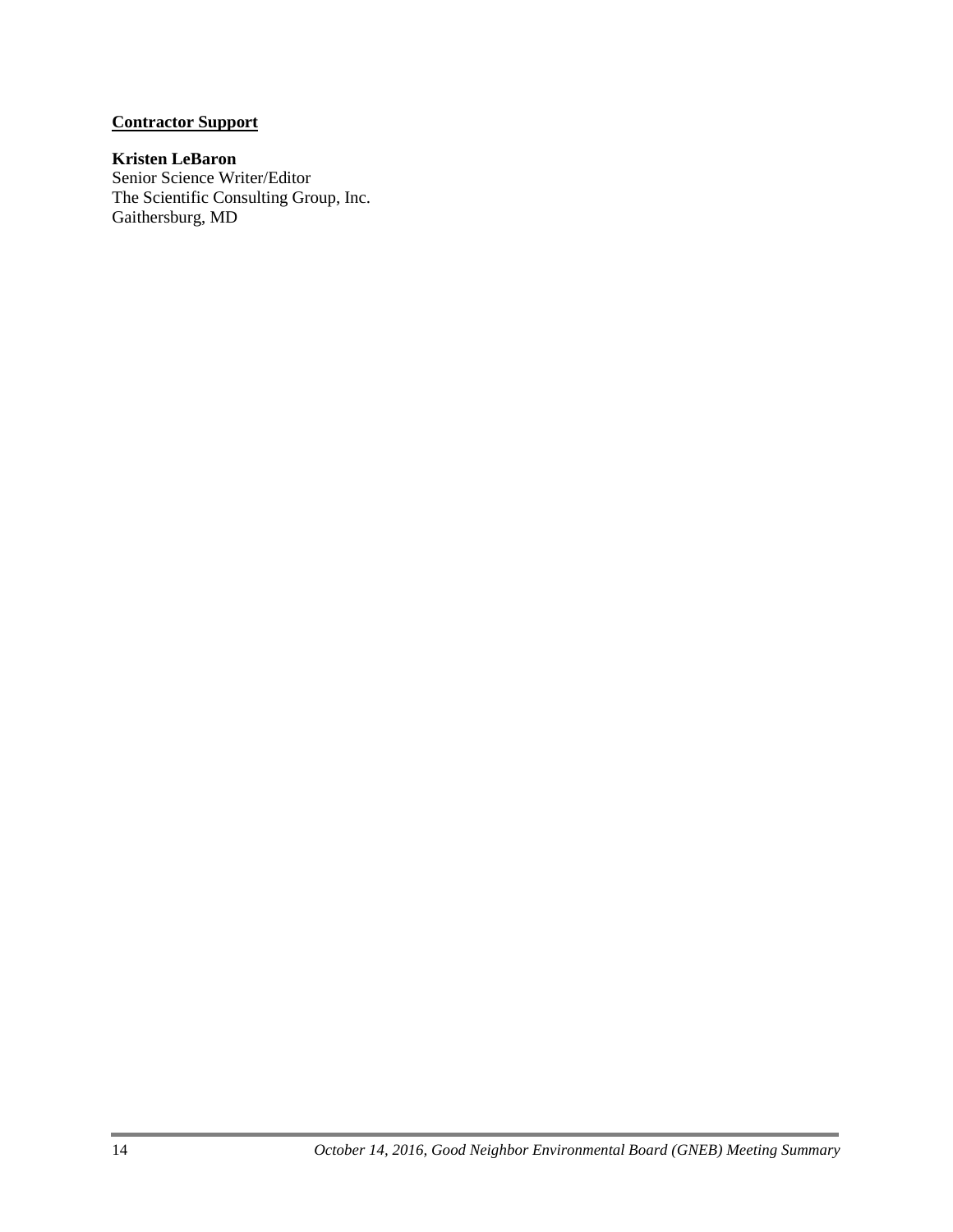# **Contractor Support**

# **Kristen LeBaron**

Senior Science Writer/Editor The Scientific Consulting Group, Inc. Gaithersburg, MD